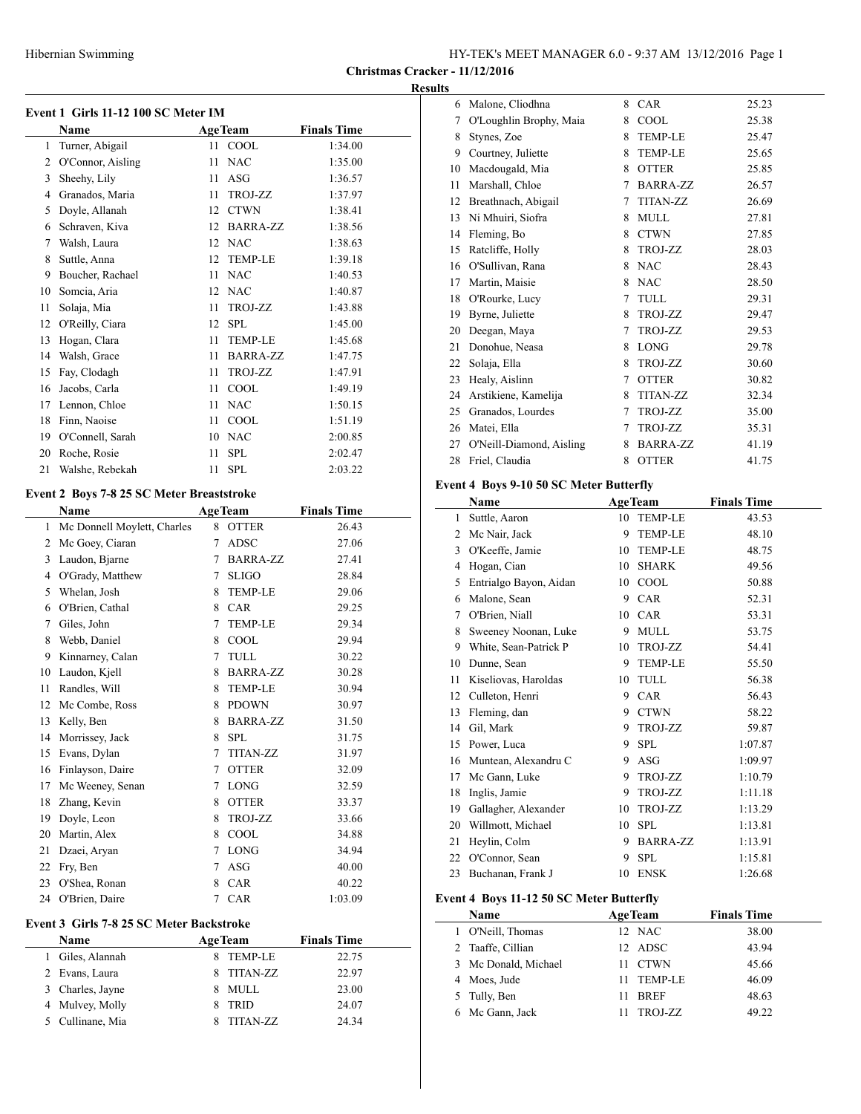| HY-TEK's MEET MANAGER 6.0 - 9:37 AM 13/12/2016 Page 1 |  |  |
|-------------------------------------------------------|--|--|
|-------------------------------------------------------|--|--|

**Christmas Cracker - 11/12/2016**

## **Results**

|                | Event 1 Girls 11-12 100 SC Meter IM              |    |                 |                    |  |  |  |
|----------------|--------------------------------------------------|----|-----------------|--------------------|--|--|--|
|                | Name                                             |    | <b>AgeTeam</b>  | <b>Finals Time</b> |  |  |  |
| 1              | Turner, Abigail                                  | 11 | COOL            | 1:34.00            |  |  |  |
| 2              | O'Connor, Aisling                                | 11 | <b>NAC</b>      | 1:35.00            |  |  |  |
| 3              | Sheehy, Lily                                     | 11 | <b>ASG</b>      | 1:36.57            |  |  |  |
| 4              | Granados, Maria                                  | 11 | TROJ-ZZ         | 1:37.97            |  |  |  |
| 5              | Doyle, Allanah                                   | 12 | <b>CTWN</b>     | 1:38.41            |  |  |  |
| 6              | Schraven, Kiva                                   | 12 | <b>BARRA-ZZ</b> | 1:38.56            |  |  |  |
| 7              | Walsh, Laura                                     | 12 | <b>NAC</b>      | 1:38.63            |  |  |  |
| 8              | Suttle, Anna                                     | 12 | <b>TEMP-LE</b>  | 1:39.18            |  |  |  |
| 9              | Boucher, Rachael                                 | 11 | <b>NAC</b>      | 1:40.53            |  |  |  |
| 10             | Somcia, Aria                                     | 12 | <b>NAC</b>      | 1:40.87            |  |  |  |
| 11             | Solaja, Mia                                      | 11 | TROJ-ZZ         | 1:43.88            |  |  |  |
| 12             | O'Reilly, Ciara                                  | 12 | <b>SPL</b>      | 1:45.00            |  |  |  |
| 13             | Hogan, Clara                                     | 11 | <b>TEMP-LE</b>  | 1:45.68            |  |  |  |
| 14             | Walsh, Grace                                     | 11 | <b>BARRA-ZZ</b> | 1:47.75            |  |  |  |
| 15             | Fay, Clodagh                                     | 11 | TROJ-ZZ         | 1:47.91            |  |  |  |
| 16             | Jacobs, Carla                                    | 11 | COOL            | 1:49.19            |  |  |  |
| 17             | Lennon, Chloe                                    | 11 | <b>NAC</b>      | 1:50.15            |  |  |  |
| 18             | Finn, Naoise                                     | 11 | COOL            | 1:51.19            |  |  |  |
| 19             | O'Connell, Sarah                                 | 10 | <b>NAC</b>      | 2:00.85            |  |  |  |
| 20             | Roche, Rosie                                     | 11 | <b>SPL</b>      | 2:02.47            |  |  |  |
| 21             | Walshe, Rebekah                                  | 11 | <b>SPL</b>      | 2:03.22            |  |  |  |
|                | <b>Event 2 Boys 7-8 25 SC Meter Breaststroke</b> |    |                 |                    |  |  |  |
|                | <b>Name</b>                                      |    | <b>AgeTeam</b>  | <b>Finals Time</b> |  |  |  |
| 1              | Mc Donnell Moylett, Charles                      | 8  | <b>OTTER</b>    | 26.43              |  |  |  |
| $\overline{c}$ | Mc Goey, Ciaran                                  | 7  | <b>ADSC</b>     | 27.06              |  |  |  |

| 1  | Mc Donnell Moylett, Charles | 8 | <b>OTTER</b>    | 26.43   |
|----|-----------------------------|---|-----------------|---------|
| 2  | Mc Goey, Ciaran             | 7 | ADSC            | 27.06   |
| 3  | Laudon, Bjarne              | 7 | <b>BARRA-ZZ</b> | 27.41   |
| 4  | O'Grady, Matthew            | 7 | <b>SLIGO</b>    | 28.84   |
| 5  | Whelan, Josh                | 8 | <b>TEMP-LE</b>  | 29.06   |
| 6  | O'Brien, Cathal             | 8 | <b>CAR</b>      | 29.25   |
| 7  | Giles, John                 | 7 | <b>TEMP-LE</b>  | 29.34   |
| 8  | Webb, Daniel                | 8 | COOL            | 29.94   |
| 9  | Kinnarney, Calan            | 7 | <b>TULL</b>     | 30.22   |
| 10 | Laudon, Kjell               | 8 | <b>BARRA-ZZ</b> | 30.28   |
| 11 | Randles, Will               | 8 | <b>TEMP-LE</b>  | 30.94   |
| 12 | McCombe, Ross               | 8 | <b>PDOWN</b>    | 30.97   |
| 13 | Kelly, Ben                  | 8 | <b>BARRA-ZZ</b> | 31.50   |
| 14 | Morrissey, Jack             | 8 | <b>SPL</b>      | 31.75   |
| 15 | Evans, Dylan                | 7 | <b>TITAN-ZZ</b> | 31.97   |
| 16 | Finlayson, Daire            | 7 | <b>OTTER</b>    | 32.09   |
| 17 | Mc Weeney, Senan            | 7 | <b>LONG</b>     | 32.59   |
| 18 | Zhang, Kevin                | 8 | <b>OTTER</b>    | 33.37   |
| 19 | Doyle, Leon                 | 8 | TROJ-ZZ         | 33.66   |
| 20 | Martin, Alex                | 8 | COOL            | 34.88   |
| 21 | Dzaei, Aryan                | 7 | <b>LONG</b>     | 34.94   |
| 22 | Fry, Ben                    | 7 | ASG             | 40.00   |
| 23 | O'Shea, Ronan               | 8 | <b>CAR</b>      | 40.22   |
| 24 | O'Brien, Daire              | 7 | <b>CAR</b>      | 1:03.09 |

## **Event 3 Girls 7-8 25 SC Meter Backstroke**

| <b>Name</b>          | <b>AgeTeam</b> | <b>Finals Time</b> |
|----------------------|----------------|--------------------|
| Giles, Alannah<br>Ι. | <b>TEMP-LE</b> | 22.75              |
| 2 Evans, Laura       | TITAN-ZZ<br>8. | 22.97              |
| 3 Charles, Jayne     | MULL<br>x.     | 23.00              |
| 4 Mulvey, Molly      | <b>TRID</b>    | 24.07              |
| 5 Cullinane, Mia     | TITAN-ZZ       | 24.34              |

| 6  | Malone, Cliodhna         | 8 | <b>CAR</b>      | 25.23 |
|----|--------------------------|---|-----------------|-------|
| 7  | O'Loughlin Brophy, Maia  | 8 | COOL            | 25.38 |
| 8  | Stynes, Zoe              | 8 | <b>TEMP-LE</b>  | 25.47 |
| 9  | Courtney, Juliette       | 8 | <b>TEMP-LE</b>  | 25.65 |
| 10 | Macdougald, Mia          | 8 | <b>OTTER</b>    | 25.85 |
| 11 | Marshall, Chloe          | 7 | BARRA-ZZ        | 26.57 |
| 12 | Breathnach, Abigail      | 7 | <b>TITAN-ZZ</b> | 26.69 |
| 13 | Ni Mhuiri, Siofra        | 8 | <b>MULL</b>     | 27.81 |
| 14 | Fleming, Bo              | 8 | <b>CTWN</b>     | 27.85 |
| 15 | Ratcliffe, Holly         | 8 | TROJ-ZZ         | 28.03 |
| 16 | O'Sullivan, Rana         | 8 | <b>NAC</b>      | 28.43 |
| 17 | Martin, Maisie           | 8 | <b>NAC</b>      | 28.50 |
| 18 | O'Rourke, Lucy           | 7 | TULL            | 29.31 |
| 19 | Byrne, Juliette          | 8 | TROJ-ZZ         | 29.47 |
| 20 | Deegan, Maya             | 7 | TROJ-ZZ         | 29.53 |
| 21 | Donohue, Neasa           | 8 | <b>LONG</b>     | 29.78 |
| 22 | Solaja, Ella             | 8 | TROJ-ZZ         | 30.60 |
| 23 | Healy, Aislinn           | 7 | <b>OTTER</b>    | 30.82 |
| 24 | Arstikiene, Kamelija     | 8 | <b>TITAN-ZZ</b> | 32.34 |
| 25 | Granados, Lourdes        | 7 | TROJ-ZZ         | 35.00 |
| 26 | Matei, Ella              | 7 | TROJ-ZZ         | 35.31 |
| 27 | O'Neill-Diamond, Aisling | 8 | <b>BARRA-ZZ</b> | 41.19 |
| 28 | Friel, Claudia           | 8 | <b>OTTER</b>    | 41.75 |
|    |                          |   |                 |       |

# **Event 4 Boys 9-10 50 SC Meter Butterfly**

|    | Name                   |    | <b>AgeTeam</b>  | <b>Finals Time</b> |
|----|------------------------|----|-----------------|--------------------|
| 1  | Suttle, Aaron          | 10 | <b>TEMP-LE</b>  | 43.53              |
| 2  | Mc Nair, Jack          | 9  | <b>TEMP-LE</b>  | 48.10              |
| 3  | O'Keeffe, Jamie        | 10 | <b>TEMP-LE</b>  | 48.75              |
| 4  | Hogan, Cian            | 10 | <b>SHARK</b>    | 49.56              |
| 5  | Entrialgo Bayon, Aidan | 10 | COOL            | 50.88              |
| 6  | Malone, Sean           | 9  | <b>CAR</b>      | 52.31              |
| 7  | O'Brien, Niall         | 10 | <b>CAR</b>      | 53.31              |
| 8  | Sweeney Noonan, Luke   | 9  | <b>MULL</b>     | 53.75              |
| 9  | White, Sean-Patrick P  | 10 | TROJ-ZZ         | 54.41              |
| 10 | Dunne, Sean            | 9  | <b>TEMP-LE</b>  | 55.50              |
| 11 | Kiseliovas, Haroldas   | 10 | TULL            | 56.38              |
| 12 | Culleton, Henri        | 9  | <b>CAR</b>      | 56.43              |
| 13 | Fleming, dan           | 9  | <b>CTWN</b>     | 58.22              |
| 14 | Gil, Mark              | 9  | TROJ-ZZ         | 59.87              |
| 15 | Power, Luca            | 9  | <b>SPL</b>      | 1:07.87            |
| 16 | Muntean, Alexandru C   | 9  | ASG             | 1:09.97            |
| 17 | Mc Gann, Luke          | 9  | TROJ-ZZ         | 1:10.79            |
| 18 | Inglis, Jamie          | 9  | TROJ-ZZ         | 1:11.18            |
| 19 | Gallagher, Alexander   | 10 | TROJ-ZZ         | 1:13.29            |
| 20 | Willmott, Michael      | 10 | <b>SPL</b>      | 1:13.81            |
| 21 | Heylin, Colm           | 9  | <b>BARRA-ZZ</b> | 1:13.91            |
| 22 | O'Connor, Sean         | 9  | <b>SPL</b>      | 1:15.81            |
| 23 | Buchanan, Frank J      | 10 | <b>ENSK</b>     | 1:26.68            |

# **Event 4 Boys 11-12 50 SC Meter Butterfly**

| Name                 |    | <b>AgeTeam</b> | <b>Finals Time</b> |       |
|----------------------|----|----------------|--------------------|-------|
| 1 O'Neill, Thomas    |    | 12 NAC         |                    | 38.00 |
| 2 Taaffe, Cillian    |    | 12 ADSC        |                    | 43.94 |
| 3 Mc Donald, Michael |    | 11 CTWN        |                    | 45.66 |
| 4 Moes, Jude         | 11 | <b>TEMP-LE</b> |                    | 46.09 |
| 5 Tully, Ben         | 11 | <b>BREF</b>    |                    | 48.63 |
| 6 Mc Gann, Jack      |    | TROJ-ZZ        |                    | 49.22 |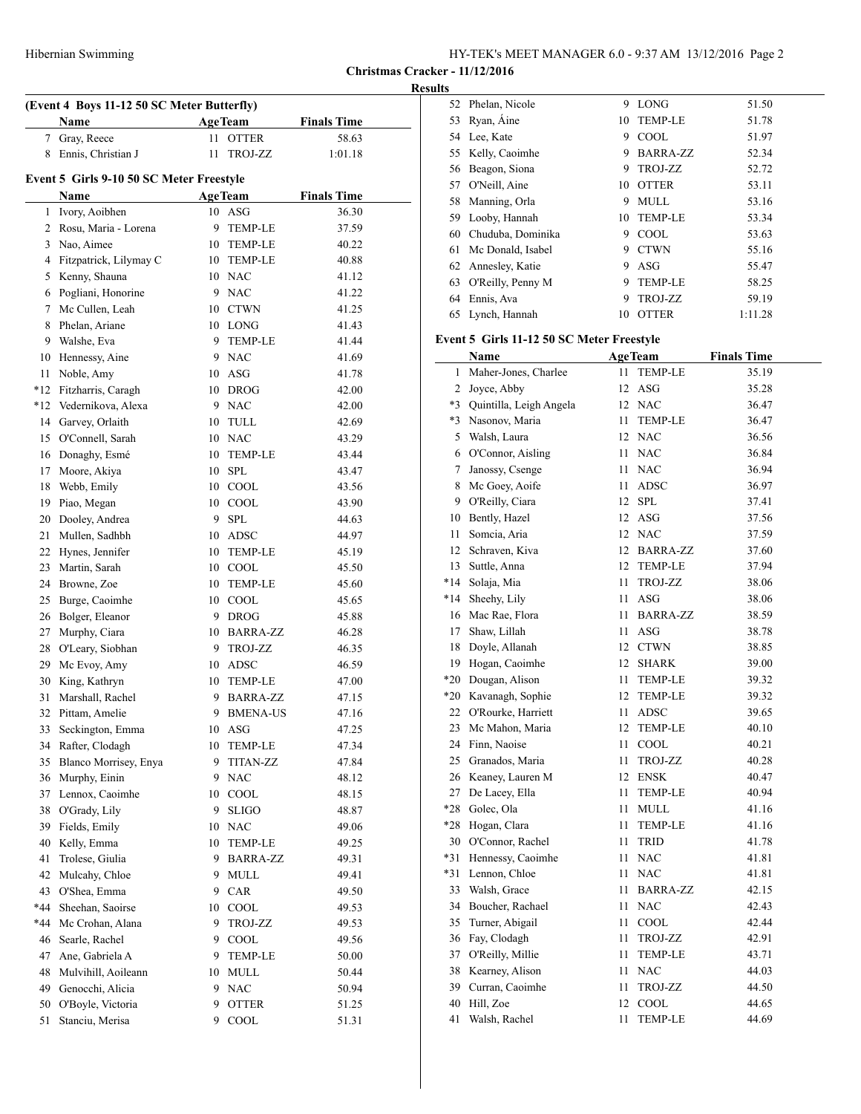## **Results**

| (Event 4 Boys 11-12 50 SC Meter Butterfly) |                                          |    |                 |                    |  |
|--------------------------------------------|------------------------------------------|----|-----------------|--------------------|--|
|                                            | Name                                     |    | <b>AgeTeam</b>  | <b>Finals Time</b> |  |
|                                            | 7 Gray, Reece                            | 11 | <b>OTTER</b>    | 58.63              |  |
|                                            | 8 Ennis, Christian J                     | 11 | <b>TROJ-ZZ</b>  | 1:01.18            |  |
|                                            | Event 5 Girls 9-10 50 SC Meter Freestyle |    |                 |                    |  |
|                                            | Name                                     |    | <b>AgeTeam</b>  | <b>Finals Time</b> |  |
|                                            | 1 Ivory, Aoibhen                         |    | 10 ASG          | 36.30              |  |
|                                            | 2 Rosu, Maria - Lorena                   |    | 9 TEMP-LE       | 37.59              |  |
| 3                                          | Nao, Aimee                               |    | 10 TEMP-LE      | 40.22              |  |
|                                            | 4 Fitzpatrick, Lilymay C                 |    | 10 TEMP-LE      | 40.88              |  |
|                                            | 5 Kenny, Shauna                          |    | 10 NAC          | 41.12              |  |
|                                            | 6 Pogliani, Honorine                     |    | 9 NAC           | 41.22              |  |
|                                            | 7 Mc Cullen, Leah                        |    | 10 CTWN         | 41.25              |  |
| 8                                          | Phelan, Ariane                           |    | 10 LONG         | 41.43              |  |
|                                            | 9 Walshe, Eva                            |    | 9 TEMP-LE       | 41.44              |  |
|                                            | 10 Hennessy, Aine                        |    | 9 NAC           | 41.69              |  |
| 11                                         | Noble, Amy                               |    | 10 ASG          | 41.78              |  |
|                                            | *12 Fitzharris, Caragh                   |    | 10 DROG         | 42.00              |  |
|                                            | *12 Vedernikova, Alexa                   |    | 9 NAC           | 42.00              |  |
|                                            | 14 Garvey, Orlaith                       |    | 10 TULL         | 42.69              |  |
|                                            | 15 O'Connell, Sarah                      |    | 10 NAC          | 43.29              |  |
|                                            | 16 Donaghy, Esmé                         |    | 10 TEMP-LE      | 43.44              |  |
|                                            | 17 Moore, Akiya                          |    | $10$ SPL        | 43.47              |  |
|                                            | 18 Webb, Emily                           |    | 10 COOL         | 43.56              |  |
|                                            |                                          |    | 10 COOL         |                    |  |
|                                            | 19 Piao, Megan                           |    |                 | 43.90              |  |
|                                            | 20 Dooley, Andrea                        |    | 9 SPL           | 44.63              |  |
| 21                                         | Mullen, Sadhbh                           |    | 10 ADSC         | 44.97              |  |
|                                            | 22 Hynes, Jennifer                       |    | 10 TEMP-LE      | 45.19              |  |
|                                            | 23 Martin, Sarah                         |    | 10 COOL         | 45.50              |  |
|                                            | 24 Browne, Zoe                           |    | 10 TEMP-LE      | 45.60              |  |
| 25                                         | Burge, Caoimhe                           |    | 10 COOL         | 45.65              |  |
| 26                                         | Bolger, Eleanor                          |    | 9 DROG          | 45.88              |  |
| 27                                         | Murphy, Ciara                            |    | 10 BARRA-ZZ     | 46.28              |  |
|                                            | 28 O'Leary, Siobhan                      |    | 9 TROJ-ZZ       | 46.35              |  |
|                                            | 29 Mc Evoy, Amy                          |    | 10 ADSC         | 46.59              |  |
|                                            | 30 King, Kathryn                         |    | 10 TEMP-LE      | 47.00              |  |
| 31                                         | Marshall, Rachel                         |    | 9 BARRA-ZZ      | 47.15              |  |
| 32                                         | Pittam, Amelie                           | 9  | <b>BMENA-US</b> | 47.16              |  |
| 33                                         | Seckington, Emma                         |    | 10 ASG          | 47.25              |  |
| 34                                         | Rafter, Clodagh                          | 10 | TEMP-LE         | 47.34              |  |
| 35                                         | Blanco Morrisey, Enya                    | 9  | <b>TITAN-ZZ</b> | 47.84              |  |
| 36                                         | Murphy, Einin                            |    | 9 NAC           | 48.12              |  |
| 37                                         | Lennox, Caoimhe                          | 10 | COOL            | 48.15              |  |
| 38                                         | O'Grady, Lily                            | 9. | <b>SLIGO</b>    | 48.87              |  |
| 39                                         | Fields, Emily                            |    | 10 NAC          | 49.06              |  |
| 40                                         | Kelly, Emma                              | 10 | TEMP-LE         | 49.25              |  |
| 41                                         | Trolese, Giulia                          | 9  | <b>BARRA-ZZ</b> | 49.31              |  |
| 42                                         | Mulcahy, Chloe                           | 9. | <b>MULL</b>     | 49.41              |  |
| 43                                         | O'Shea, Emma                             | 9. | CAR             | 49.50              |  |
| $*44$                                      | Sheehan, Saoirse                         |    | 10 COOL         | 49.53              |  |
| *44                                        | Mc Crohan, Alana                         | 9. | TROJ-ZZ         | 49.53              |  |
| 46                                         | Searle, Rachel                           |    | 9 COOL          | 49.56              |  |
| 47                                         | Ane, Gabriela A                          |    | 9 TEMP-LE       | 50.00              |  |
| 48                                         | Mulvihill, Aoileann                      |    | 10 MULL         | 50.44              |  |
| 49                                         | Genocchi, Alicia                         |    | 9 NAC           | 50.94              |  |
| 50                                         | O'Boyle, Victoria                        | 9  | <b>OTTER</b>    | 51.25              |  |
| 51                                         | Stanciu, Merisa                          | 9  | COOL            | 51.31              |  |

| 52 | Phelan, Nicole       | 9  | <b>LONG</b>     | 51.50   |
|----|----------------------|----|-----------------|---------|
|    | 53 Ryan, Áine        | 10 | <b>TEMP-LE</b>  | 51.78   |
|    | 54 Lee, Kate         | 9  | COOL            | 51.97   |
|    | 55 Kelly, Caoimhe    | 9  | <b>BARRA-ZZ</b> | 52.34   |
| 56 | Beagon, Siona        | 9  | TROJ-ZZ         | 52.72   |
| 57 | O'Neill, Aine        | 10 | <b>OTTER</b>    | 53.11   |
| 58 | Manning, Orla        | 9  | <b>MULL</b>     | 53.16   |
| 59 | Looby, Hannah        | 10 | <b>TEMP-LE</b>  | 53.34   |
| 60 | Chuduba, Dominika    | 9  | <b>COOL</b>     | 53.63   |
| 61 | Mc Donald, Isabel    | 9  | <b>CTWN</b>     | 55.16   |
| 62 | Annesley, Katie      | 9  | ASG             | 55.47   |
|    | 63 O'Reilly, Penny M | 9  | <b>TEMP-LE</b>  | 58.25   |
| 64 | Ennis, Ava           | 9  | TROJ-ZZ         | 59.19   |
| 65 | Lynch, Hannah        | 10 | <b>OTTER</b>    | 1:11.28 |
|    |                      |    |                 |         |

# **Event 5 Girls 11-12 50 SC Meter Freestyle**

|                | Name                       |      | <b>AgeTeam</b>  | <b>Finals Time</b> |
|----------------|----------------------------|------|-----------------|--------------------|
| $\mathbf{1}$   | Maher-Jones, Charlee       | 11   | <b>TEMP-LE</b>  | 35.19              |
| $\overline{2}$ | Joyce, Abby                |      | 12 ASG          | 35.28              |
|                | *3 Quintilla, Leigh Angela |      | 12 NAC          | 36.47              |
|                | *3 Nasonov, Maria          | 11 - | <b>TEMP-LE</b>  | 36.47              |
| 5              | Walsh, Laura               |      | 12 NAC          | 36.56              |
| 6              | O'Connor, Aisling          | 11   | <b>NAC</b>      | 36.84              |
| 7              | Janossy, Csenge            | 11   | <b>NAC</b>      | 36.94              |
|                | 8 Mc Goey, Aoife           | 11   | ADSC            | 36.97              |
|                | 9 O'Reilly, Ciara          |      | 12 SPL          | 37.41              |
|                | 10 Bently, Hazel           |      | 12 ASG          | 37.56              |
| 11             | Somcia, Aria               |      | 12 NAC          | 37.59              |
|                | 12 Schraven, Kiva          |      | 12 BARRA-ZZ     | 37.60              |
|                | 13 Suttle, Anna            |      | 12 TEMP-LE      | 37.94              |
|                | *14 Solaja, Mia            | 11   | TROJ-ZZ         | 38.06              |
| $*14$          | Sheehy, Lily               | 11   | ASG             | 38.06              |
|                | 16 Mac Rae, Flora          | 11   | <b>BARRA-ZZ</b> | 38.59              |
|                | 17 Shaw, Lillah            | 11   | ASG             | 38.78              |
|                | 18 Doyle, Allanah          |      | 12 CTWN         | 38.85              |
|                | 19 Hogan, Caoimhe          |      | 12 SHARK        | 39.00              |
| $*20$          | Dougan, Alison             | 11 - | <b>TEMP-LE</b>  | 39.32              |
|                | *20 Kavanagh, Sophie       |      | 12 TEMP-LE      | 39.32              |
|                | 22 O'Rourke, Harriett      |      | 11 ADSC         | 39.65              |
|                | 23 Mc Mahon, Maria         |      | 12 TEMP-LE      | 40.10              |
|                | 24 Finn, Naoise            | 11   | COOL            | 40.21              |
|                | 25 Granados, Maria         | 11   | TROJ-ZZ         | 40.28              |
|                | 26 Keaney, Lauren M        |      | 12 ENSK         | 40.47              |
|                | 27 De Lacey, Ella          | 11   | <b>TEMP-LE</b>  | 40.94              |
| $*28$          | Golec, Ola                 | 11   | MULL            | 41.16              |
|                | *28 Hogan, Clara           | 11 - | <b>TEMP-LE</b>  | 41.16              |
|                | 30 O'Connor, Rachel        | 11   | <b>TRID</b>     | 41.78              |
| $*31$          | Hennessy, Caoimhe          |      | 11 NAC          | 41.81              |
|                | *31 Lennon, Chloe          |      | 11 NAC          | 41.81              |
| 33             | Walsh, Grace               | 11   | <b>BARRA-ZZ</b> | 42.15              |
| 34             | Boucher, Rachael           | 11   | <b>NAC</b>      | 42.43              |
| 35             | Turner, Abigail            | 11   | COOL            | 42.44              |
|                | 36 Fay, Clodagh            | 11   | TROJ-ZZ         | 42.91              |
|                | 37 O'Reilly, Millie        | 11   | <b>TEMP-LE</b>  | 43.71              |
|                | 38 Kearney, Alison         |      | 11 NAC          | 44.03              |
|                | 39 Curran, Caoimhe         | 11   | TROJ-ZZ         | 44.50              |
|                | 40 Hill, Zoe               |      | 12 COOL         | 44.65              |
| 41             | Walsh, Rachel              | 11   | <b>TEMP-LE</b>  | 44.69              |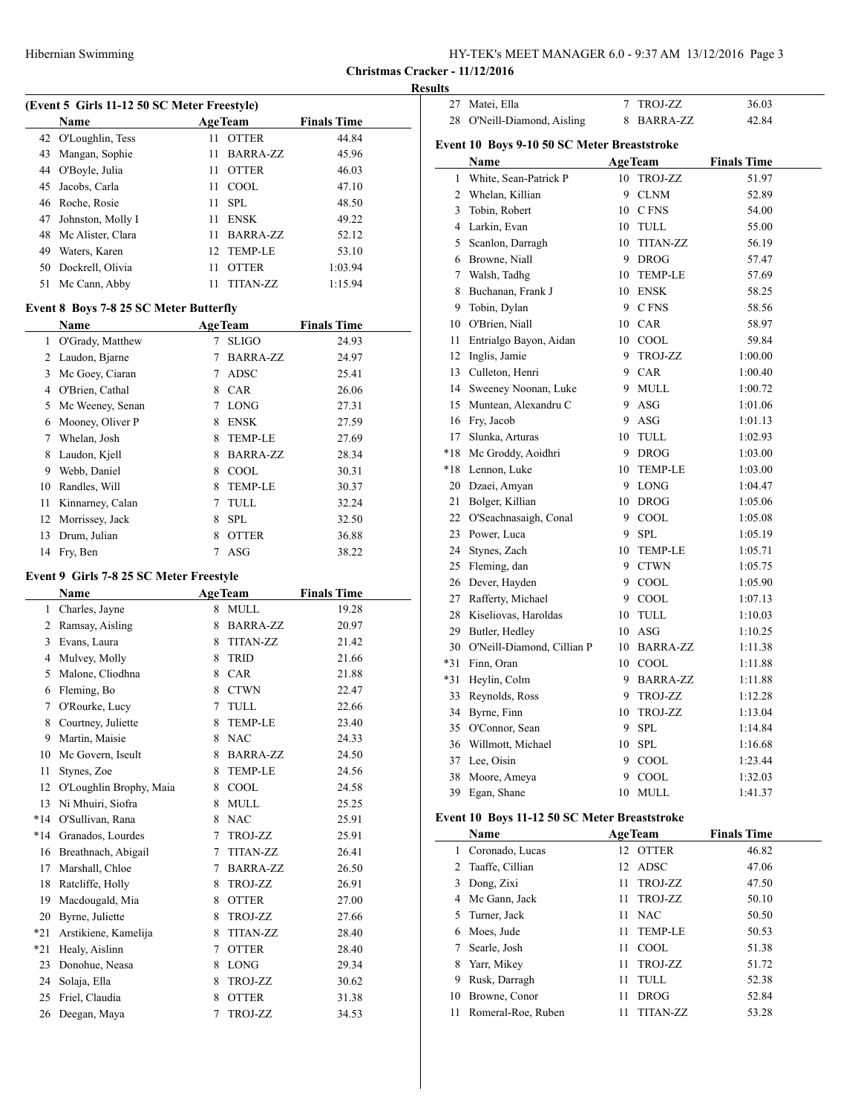| HY-TEK's MEET MANAGER 6.0 - 9:37 AM 13/12/2016 Page 3 |  |  |
|-------------------------------------------------------|--|--|
|-------------------------------------------------------|--|--|

## **Results**

| (Event 5 Girls 11-12 50 SC Meter Freestyle) |     |              |                                    |  |  |  |
|---------------------------------------------|-----|--------------|------------------------------------|--|--|--|
| <b>Name</b>                                 |     |              | <b>Finals Time</b>                 |  |  |  |
| 42 O'Loughlin, Tess                         | 11  | <b>OTTER</b> | 44.84                              |  |  |  |
| 43 Mangan, Sophie                           | 11. | BARRA-ZZ     | 45.96                              |  |  |  |
| 44 O'Boyle, Julia                           | 11. | <b>OTTER</b> | 46.03                              |  |  |  |
| 45 Jacobs, Carla                            | 11. | COOL.        | 47.10                              |  |  |  |
| 46 Roche, Rosie                             |     | SPL          | 48.50                              |  |  |  |
| Johnston, Molly I                           | 11  | <b>ENSK</b>  | 49.22                              |  |  |  |
| Mc Alister, Clara                           | 11. | BARRA-ZZ     | 52.12                              |  |  |  |
| Waters, Karen                               |     |              | 53.10                              |  |  |  |
| Dockrell, Olivia                            | 11  | <b>OTTER</b> | 1:03.94                            |  |  |  |
| Mc Cann, Abby                               | 11  | TITAN-ZZ     | 1:15.94                            |  |  |  |
|                                             |     |              | <b>AgeTeam</b><br>11<br>12 TEMP-LE |  |  |  |

## **Event 8 Boys 7-8 25 SC Meter Butterfly**

|    | <b>Name</b>        |   | <b>AgeTeam</b>  | <b>Finals Time</b> |
|----|--------------------|---|-----------------|--------------------|
| 1  | O'Grady, Matthew   |   | <b>SLIGO</b>    | 24.93              |
| 2  | Laudon, Bjarne     | 7 | <b>BARRA-ZZ</b> | 24.97              |
| 3  | Mc Goey, Ciaran    | 7 | <b>ADSC</b>     | 25.41              |
| 4  | O'Brien, Cathal    | 8 | <b>CAR</b>      | 26.06              |
| 5  | Mc Weeney, Senan   | 7 | <b>LONG</b>     | 27.31              |
| 6  | Mooney, Oliver P   | 8 | <b>ENSK</b>     | 27.59              |
| 7  | Whelan, Josh       | 8 | <b>TEMP-LE</b>  | 27.69              |
| 8  | Laudon, Kjell      | 8 | <b>BARRA-ZZ</b> | 28.34              |
| 9  | Webb, Daniel       | 8 | <b>COOL</b>     | 30.31              |
| 10 | Randles, Will      | 8 | <b>TEMP-LE</b>  | 30.37              |
| 11 | Kinnarney, Calan   |   | TULL            | 32.24              |
|    | 12 Morrissey, Jack | 8 | <b>SPL</b>      | 32.50              |
| 13 | Drum, Julian       | 8 | <b>OTTER</b>    | 36.88              |
| 14 | Fry, Ben           |   | ASG             | 38.22              |

## **Event 9 Girls 7-8 25 SC Meter Freestyle**

| <b>Name</b> |                         |   | <b>AgeTeam</b>  | <b>Finals Time</b> |
|-------------|-------------------------|---|-----------------|--------------------|
| 1           | Charles, Jayne          | 8 | <b>MULL</b>     | 19.28              |
| 2           | Ramsay, Aisling         | 8 | <b>BARRA-ZZ</b> | 20.97              |
| 3           | Evans, Laura            | 8 | <b>TITAN-ZZ</b> | 21.42              |
| 4           | Mulvey, Molly           | 8 | <b>TRID</b>     | 21.66              |
| 5           | Malone, Cliodhna        | 8 | <b>CAR</b>      | 21.88              |
| 6           | Fleming, Bo             | 8 | <b>CTWN</b>     | 22.47              |
| 7           | O'Rourke, Lucy          | 7 | <b>TULL</b>     | 22.66              |
| 8           | Courtney, Juliette      | 8 | <b>TEMP-LE</b>  | 23.40              |
| 9           | Martin, Maisie          | 8 | <b>NAC</b>      | 24.33              |
| 10          | Mc Govern, Iseult       | 8 | <b>BARRA-ZZ</b> | 24.50              |
| 11          | Stynes, Zoe             | 8 | <b>TEMP-LE</b>  | 24.56              |
| 12          | O'Loughlin Brophy, Maia | 8 | COOL            | 24.58              |
| 13          | Ni Mhuiri, Siofra       | 8 | <b>MULL</b>     | 25.25              |
| $*14$       | O'Sullivan, Rana        | 8 | <b>NAC</b>      | 25.91              |
| $*14$       | Granados, Lourdes       | 7 | TROJ-ZZ         | 25.91              |
| 16          | Breathnach, Abigail     | 7 | <b>TITAN-ZZ</b> | 26.41              |
| 17          | Marshall, Chloe         | 7 | <b>BARRA-ZZ</b> | 26.50              |
| 18          | Ratcliffe, Holly        | 8 | TROJ-ZZ         | 26.91              |
| 19          | Macdougald, Mia         | 8 | <b>OTTER</b>    | 27.00              |
| 20          | Byrne, Juliette         | 8 | TROJ-ZZ         | 27.66              |
| $*21$       | Arstikiene, Kamelija    | 8 | <b>TITAN-ZZ</b> | 28.40              |
| $*21$       | Healy, Aislinn          | 7 | <b>OTTER</b>    | 28.40              |
| 23          | Donohue, Neasa          | 8 | <b>LONG</b>     | 29.34              |
| 24          | Solaja, Ella            | 8 | TROJ-ZZ         | 30.62              |
| 25          | Friel, Claudia          | 8 | <b>OTTER</b>    | 31.38              |
| 26          | Deegan, Maya            | 7 | <b>TROJ-ZZ</b>  | 34.53              |

| 27                                          | Matei, Ella                   | 7  | TROJ-ZZ         | 36.03              |  |  |  |  |
|---------------------------------------------|-------------------------------|----|-----------------|--------------------|--|--|--|--|
| 28                                          | O'Neill-Diamond, Aisling      |    | 8 BARRA-ZZ      | 42.84              |  |  |  |  |
| Event 10 Boys 9-10 50 SC Meter Breaststroke |                               |    |                 |                    |  |  |  |  |
|                                             | Name                          |    | <b>AgeTeam</b>  | <b>Finals Time</b> |  |  |  |  |
| 1                                           | White, Sean-Patrick P         |    | 10 TROJ-ZZ      | 51.97              |  |  |  |  |
|                                             | 2 Whelan, Killian             | 9  | <b>CLNM</b>     | 52.89              |  |  |  |  |
|                                             | 3 Tobin, Robert               |    | 10 C FNS        | 54.00              |  |  |  |  |
|                                             | 4 Larkin, Evan                |    | 10 TULL         | 55.00              |  |  |  |  |
|                                             | 5 Scanlon, Darragh            | 10 | <b>TITAN-ZZ</b> | 56.19              |  |  |  |  |
|                                             | 6 Browne, Niall               | 9  | <b>DROG</b>     | 57.47              |  |  |  |  |
|                                             | 7 Walsh, Tadhg                | 10 | <b>TEMP-LE</b>  | 57.69              |  |  |  |  |
|                                             | 8 Buchanan, Frank J           |    | 10 ENSK         | 58.25              |  |  |  |  |
|                                             | 9 Tobin, Dylan                |    | 9 CFNS          | 58.56              |  |  |  |  |
|                                             | 10 O'Brien, Niall             |    | 10 CAR          | 58.97              |  |  |  |  |
|                                             | 11 Entrialgo Bayon, Aidan     |    | 10 COOL         | 59.84              |  |  |  |  |
|                                             | 12 Inglis, Jamie              | 9  | TROJ-ZZ         | 1:00.00            |  |  |  |  |
|                                             | 13 Culleton, Henri            | 9  | CAR             | 1:00.40            |  |  |  |  |
|                                             | 14 Sweeney Noonan, Luke       |    | 9 MULL          | 1:00.72            |  |  |  |  |
|                                             | 15 Muntean, Alexandru C       |    | 9 ASG           | 1:01.06            |  |  |  |  |
|                                             | 16 Fry, Jacob                 | 9  | ASG             | 1:01.13            |  |  |  |  |
| 17                                          | Slunka, Arturas               | 10 | TULL            | 1:02.93            |  |  |  |  |
|                                             | *18 Mc Groddy, Aoidhri        |    | 9 DROG          | 1:03.00            |  |  |  |  |
|                                             | *18 Lennon, Luke              | 10 | <b>TEMP-LE</b>  | 1:03.00            |  |  |  |  |
|                                             | 20 Dzaei, Amyan               | 9  | <b>LONG</b>     | 1:04.47            |  |  |  |  |
|                                             | 21 Bolger, Killian            | 10 | <b>DROG</b>     | 1:05.06            |  |  |  |  |
|                                             | 22 O'Seachnasaigh, Conal      |    | 9 COOL          | 1:05.08            |  |  |  |  |
|                                             | 23 Power, Luca                | 9  | <b>SPL</b>      | 1:05.19            |  |  |  |  |
|                                             | 24 Stynes, Zach               | 10 | <b>TEMP-LE</b>  | 1:05.71            |  |  |  |  |
|                                             | 25 Fleming, dan               |    | 9 CTWN          | 1:05.75            |  |  |  |  |
|                                             | 26 Dever, Hayden              | 9  | COOL            | 1:05.90            |  |  |  |  |
|                                             | 27 Rafferty, Michael          |    | 9 COOL          | 1:07.13            |  |  |  |  |
|                                             | 28 Kiseliovas, Haroldas       | 10 | TULL            | 1:10.03            |  |  |  |  |
|                                             | 29 Butler, Hedley             |    | 10 ASG          | 1:10.25            |  |  |  |  |
|                                             | 30 O'Neill-Diamond, Cillian P | 10 | <b>BARRA-ZZ</b> | 1:11.38            |  |  |  |  |
| *31                                         | Finn, Oran                    |    | 10 COOL         | 1:11.88            |  |  |  |  |
|                                             | *31 Heylin, Colm              |    | 9 BARRA-ZZ      | 1:11.88            |  |  |  |  |
|                                             | 33 Reynolds, Ross             | 9  | TROJ-ZZ         | 1:12.28            |  |  |  |  |
|                                             | 34 Byrne, Finn                | 10 | TROJ-ZZ         | 1:13.04            |  |  |  |  |
|                                             | 35 O'Connor, Sean             |    | 9 SPL           | 1:14.84            |  |  |  |  |
|                                             | 36 Willmott, Michael          |    | 10 SPL          | 1:16.68            |  |  |  |  |
|                                             | 37 Lee, Oisin                 | 9  | COOL            | 1:23.44            |  |  |  |  |
|                                             | 38 Moore, Ameya               | 9  | <b>COOL</b>     | 1:32.03            |  |  |  |  |
| 39                                          | Egan, Shane                   | 10 | <b>MULL</b>     | 1:41.37            |  |  |  |  |

# **Event 10 Boys 11-12 50 SC Meter Breaststroke**

|    | Name               |    | <b>AgeTeam</b> | <b>Finals Time</b> |  |
|----|--------------------|----|----------------|--------------------|--|
| 1. | Coronado, Lucas    |    | 12 OTTER       | 46.82              |  |
| 2  | Taaffe, Cillian    |    | 12 ADSC        | 47.06              |  |
| 3  | Dong, Zixi         | 11 | TROJ-ZZ        | 47.50              |  |
| 4  | Mc Gann, Jack      | 11 | TROJ-ZZ        | 50.10              |  |
|    | 5 Turner, Jack     | 11 | <b>NAC</b>     | 50.50              |  |
| 6  | Moes, Jude         | 11 | <b>TEMP-LE</b> | 50.53              |  |
|    | Searle, Josh       | 11 | COOL.          | 51.38              |  |
| 8  | Yarr, Mikey        | 11 | TROJ-ZZ        | 51.72              |  |
| 9  | Rusk, Darragh      | 11 | TULL.          | 52.38              |  |
| 10 | Browne, Conor      | 11 | <b>DROG</b>    | 52.84              |  |
| 11 | Romeral-Roe, Ruben | 11 | TITAN-ZZ       | 53.28              |  |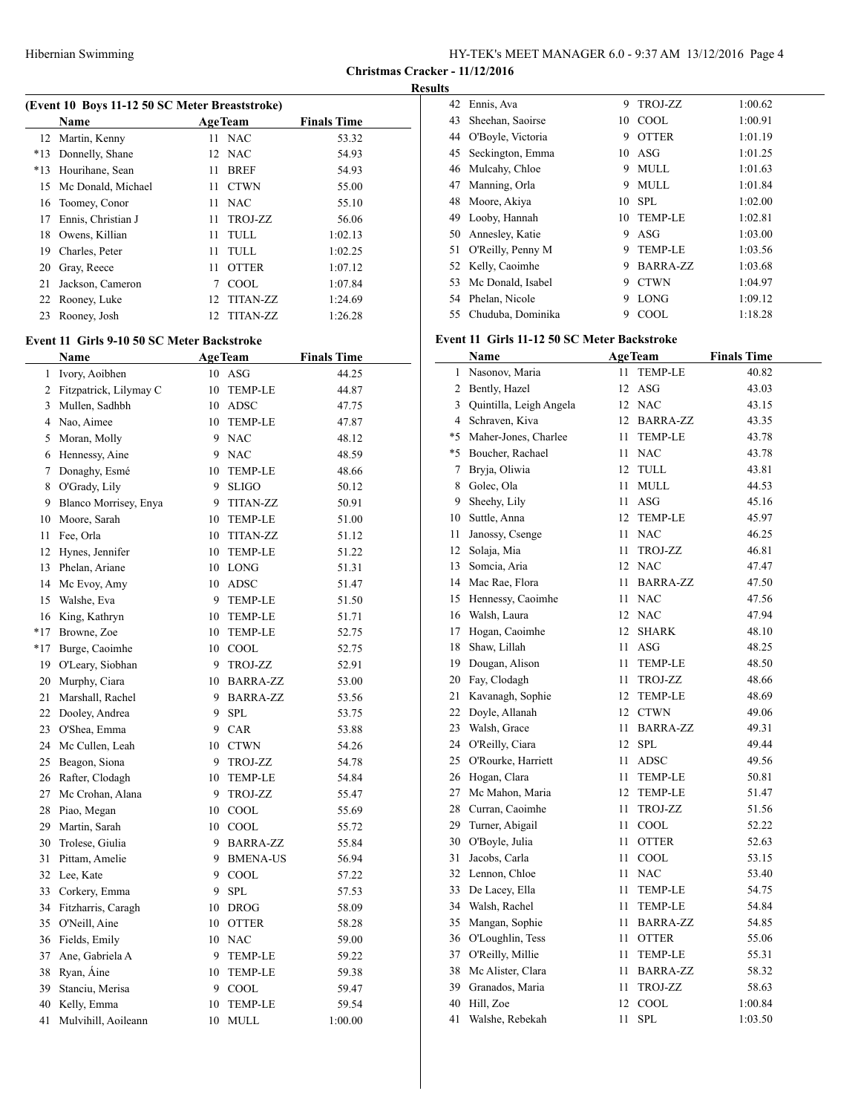**Christmas Cracker - 11/12/2016**

## **Results**

 $\overline{a}$ 

|       | (Event 10 Boys 11-12 50 SC Meter Breaststroke) |                 |                 |                    |  |  |  |
|-------|------------------------------------------------|-----------------|-----------------|--------------------|--|--|--|
|       | <b>Name</b>                                    |                 | <b>AgeTeam</b>  | <b>Finals Time</b> |  |  |  |
|       | 12 Martin, Kenny                               | 11.             | NAC             | 53.32              |  |  |  |
| $*13$ | Donnelly, Shane                                |                 | 12 NAC          | 54.93              |  |  |  |
| $*13$ | Hourihane, Sean                                | 11              | <b>BREF</b>     | 54.93              |  |  |  |
| 15    | Mc Donald, Michael                             | 11              | <b>CTWN</b>     | 55.00              |  |  |  |
|       | 16 Toomey, Conor                               | 11              | <b>NAC</b>      | 55.10              |  |  |  |
| 17    | Ennis, Christian J                             | 11.             | TROJ-ZZ         | 56.06              |  |  |  |
| 18    | Owens, Killian                                 | 11              | TULL            | 1:02.13            |  |  |  |
| 19    | Charles, Peter                                 | 11              | TULL            | 1:02.25            |  |  |  |
| 20    | Gray, Reece                                    | 11              | <b>OTTER</b>    | 1:07.12            |  |  |  |
| 21    | Jackson, Cameron                               | 7               | <b>COOL</b>     | 1:07.84            |  |  |  |
|       | 22 Rooney, Luke                                | 12              | <b>TITAN-ZZ</b> | 1:24.69            |  |  |  |
| 23    | Rooney, Josh                                   | 12 <sub>1</sub> | TITAN-ZZ        | 1:26.28            |  |  |  |
|       |                                                |                 |                 |                    |  |  |  |

# **Event 11 Girls 9-10 50 SC Meter Backstroke**

|                | Name                   |    | <b>AgeTeam</b>  | <b>Finals Time</b> |
|----------------|------------------------|----|-----------------|--------------------|
| 1              | Ivory, Aoibhen         |    | 10 ASG          | 44.25              |
| 2              | Fitzpatrick, Lilymay C |    | 10 TEMP-LE      | 44.87              |
| 3              | Mullen, Sadhbh         |    | 10 ADSC         | 47.75              |
| $\overline{4}$ | Nao, Aimee             |    | 10 TEMP-LE      | 47.87              |
| 5              | Moran, Molly           | 9  | <b>NAC</b>      | 48.12              |
| 6              | Hennessy, Aine         |    | 9 NAC           | 48.59              |
| 7              | Donaghy, Esmé          | 10 | <b>TEMP-LE</b>  | 48.66              |
| 8              | O'Grady, Lily          |    | 9 SLIGO         | 50.12              |
| 9              | Blanco Morrisey, Enya  | 9  | <b>TITAN-ZZ</b> | 50.91              |
| 10             | Moore, Sarah           |    | 10 TEMP-LE      | 51.00              |
| 11             | Fee, Orla              |    | 10 TITAN-ZZ     | 51.12              |
| 12             | Hynes, Jennifer        |    | 10 TEMP-LE      | 51.22              |
| 13             | Phelan, Ariane         |    | 10 LONG         | 51.31              |
| 14             | Mc Evoy, Amy           | 10 | ADSC            | 51.47              |
| 15             | Walshe, Eva            | 9  | <b>TEMP-LE</b>  | 51.50              |
| 16             | King, Kathryn          | 10 | <b>TEMP-LE</b>  | 51.71              |
| $*17$          | Browne, Zoe            |    | 10 TEMP-LE      | 52.75              |
| $*17$          | Burge, Caoimhe         |    | 10 COOL         | 52.75              |
| 19             | O'Leary, Siobhan       |    | 9 TROJ-ZZ       | 52.91              |
| 20             | Murphy, Ciara          |    | 10 BARRA-ZZ     | 53.00              |
| 21             | Marshall, Rachel       |    | 9 BARRA-ZZ      | 53.56              |
| 22             | Dooley, Andrea         |    | 9 SPL           | 53.75              |
| 23             | O'Shea, Emma           |    | 9 CAR           | 53.88              |
| 24             | Mc Cullen, Leah        | 10 | <b>CTWN</b>     | 54.26              |
| 25             | Beagon, Siona          | 9  | TROJ-ZZ         | 54.78              |
|                | 26 Rafter, Clodagh     |    | 10 TEMP-LE      | 54.84              |
| 27             | Mc Crohan, Alana       | 9  | TROJ-ZZ         | 55.47              |
| 28             | Piao, Megan            |    | 10 COOL         | 55.69              |
| 29             | Martin, Sarah          |    | 10 COOL         | 55.72              |
|                | 30 Trolese, Giulia     |    | 9 BARRA-ZZ      | 55.84              |
| 31             | Pittam, Amelie         |    | 9 BMENA-US      | 56.94              |
| 32             | Lee, Kate              |    | 9 COOL          | 57.22              |
| 33             | Corkery, Emma          | 9  | ${\rm SPI}$     | 57.53              |
| 34             | Fitzharris, Caragh     | 10 | <b>DROG</b>     | 58.09              |
| 35             | O'Neill, Aine          |    | 10 OTTER        | 58.28              |
| 36             | Fields, Emily          |    | 10 NAC          | 59.00              |
| 37             | Ane, Gabriela A        | 9  | <b>TEMP-LE</b>  | 59.22              |
| 38             | Ryan, Áine             | 10 | <b>TEMP-LE</b>  | 59.38              |
| 39             | Stanciu, Merisa        |    | 9 COOL          | 59.47              |
| 40             | Kelly, Emma            | 10 | <b>TEMP-LE</b>  | 59.54              |
| 41             | Mulvihill, Aoileann    | 10 | <b>MULL</b>     | 1:00.00            |

| 42 | Ennis, Ava           | 9  | TROJ-ZZ         | 1:00.62 |  |
|----|----------------------|----|-----------------|---------|--|
| 43 | Sheehan, Saoirse     | 10 | <b>COOL</b>     | 1:00.91 |  |
| 44 | O'Boyle, Victoria    | 9  | <b>OTTER</b>    | 1:01.19 |  |
|    | 45 Seckington, Emma  | 10 | ASG             | 1:01.25 |  |
| 46 | Mulcahy, Chloe       | 9  | <b>MULL</b>     | 1:01.63 |  |
| 47 | Manning, Orla        | 9  | <b>MULL</b>     | 1:01.84 |  |
| 48 | Moore, Akiya         | 10 | <b>SPL</b>      | 1:02.00 |  |
| 49 | Looby, Hannah        | 10 | <b>TEMP-LE</b>  | 1:02.81 |  |
|    | 50 Annesley, Katie   | 9  | ASG             | 1:03.00 |  |
|    | 51 O'Reilly, Penny M | 9  | <b>TEMP-LE</b>  | 1:03.56 |  |
|    | 52 Kelly, Caoimhe    | 9  | <b>BARRA-ZZ</b> | 1:03.68 |  |
|    | 53 Mc Donald, Isabel | 9  | <b>CTWN</b>     | 1:04.97 |  |
| 54 | Phelan, Nicole       | 9  | <b>LONG</b>     | 1:09.12 |  |
|    | 55 Chuduba, Dominika | 9  | COOL            | 1:18.28 |  |

## **Event 11 Girls 11-12 50 SC Meter Backstroke**

|                 | <b>Name</b>             |    | <b>AgeTeam</b>  | <b>Finals Time</b> |
|-----------------|-------------------------|----|-----------------|--------------------|
| $\mathbf{1}$    | Nasonov, Maria          | 11 | <b>TEMP-LE</b>  | 40.82              |
| $\overline{c}$  | Bently, Hazel           | 12 | ASG             | 43.03              |
| $\overline{3}$  | Quintilla, Leigh Angela |    | 12 NAC          | 43.15              |
| $\overline{4}$  | Schraven, Kiva          |    | 12 BARRA-ZZ     | 43.35              |
| *5              | Maher-Jones, Charlee    | 11 | <b>TEMP-LE</b>  | 43.78              |
| $*5$            | Boucher, Rachael        | 11 | <b>NAC</b>      | 43.78              |
| $7\phantom{.0}$ | Bryja, Oliwia           | 12 | TULL            | 43.81              |
| 8               | Golec, Ola              | 11 | MULL            | 44.53              |
| 9               | Sheehy, Lily            | 11 | ASG             | 45.16              |
| 10              | Suttle, Anna            | 12 | <b>TEMP-LE</b>  | 45.97              |
| 11              | Janossy, Csenge         | 11 | <b>NAC</b>      | 46.25              |
| 12              | Solaja, Mia             | 11 | <b>TROJ-ZZ</b>  | 46.81              |
| 13              | Somcia, Aria            |    | 12 NAC          | 47.47              |
| 14              | Mac Rae, Flora          | 11 | <b>BARRA-ZZ</b> | 47.50              |
| 15              | Hennessy, Caoimhe       | 11 | <b>NAC</b>      | 47.56              |
| 16              | Walsh, Laura            |    | 12 NAC          | 47.94              |
| 17              | Hogan, Caoimhe          | 12 | <b>SHARK</b>    | 48.10              |
| 18              | Shaw, Lillah            | 11 | ASG             | 48.25              |
| 19              | Dougan, Alison          | 11 | <b>TEMP-LE</b>  | 48.50              |
| 20              | Fay, Clodagh            | 11 | TROJ-ZZ         | 48.66              |
| 21              | Kavanagh, Sophie        | 12 | TEMP-LE         | 48.69              |
| 22              | Doyle, Allanah          |    | 12 CTWN         | 49.06              |
| 23              | Walsh, Grace            | 11 | <b>BARRA-ZZ</b> | 49.31              |
| 24              | O'Reilly, Ciara         | 12 | <b>SPL</b>      | 49.44              |
| 25              | O'Rourke, Harriett      | 11 | ADSC            | 49.56              |
| 26              | Hogan, Clara            | 11 | <b>TEMP-LE</b>  | 50.81              |
| 27              | Mc Mahon, Maria         | 12 | TEMP-LE         | 51.47              |
| 28              | Curran, Caoimhe         | 11 | TROJ-ZZ         | 51.56              |
| 29              | Turner, Abigail         | 11 | COOL            | 52.22              |
| 30              | O'Boyle, Julia          | 11 | <b>OTTER</b>    | 52.63              |
| 31              | Jacobs, Carla           | 11 | COOL            | 53.15              |
| 32              | Lennon, Chloe           | 11 | <b>NAC</b>      | 53.40              |
| 33              | De Lacey, Ella          | 11 | TEMP-LE         | 54.75              |
| 34              | Walsh, Rachel           | 11 | <b>TEMP-LE</b>  | 54.84              |
| 35              | Mangan, Sophie          | 11 | <b>BARRA-ZZ</b> | 54.85              |
| 36              | O'Loughlin, Tess        | 11 | <b>OTTER</b>    | 55.06              |
| 37              | O'Reilly, Millie        | 11 | <b>TEMP-LE</b>  | 55.31              |
| 38              | Mc Alister, Clara       | 11 | <b>BARRA-ZZ</b> | 58.32              |
| 39              | Granados, Maria         | 11 | <b>TROJ-ZZ</b>  | 58.63              |
| 40              | Hill, Zoe               | 12 | COOL            | 1:00.84            |
| 41              | Walshe, Rebekah         | 11 | <b>SPL</b>      | 1:03.50            |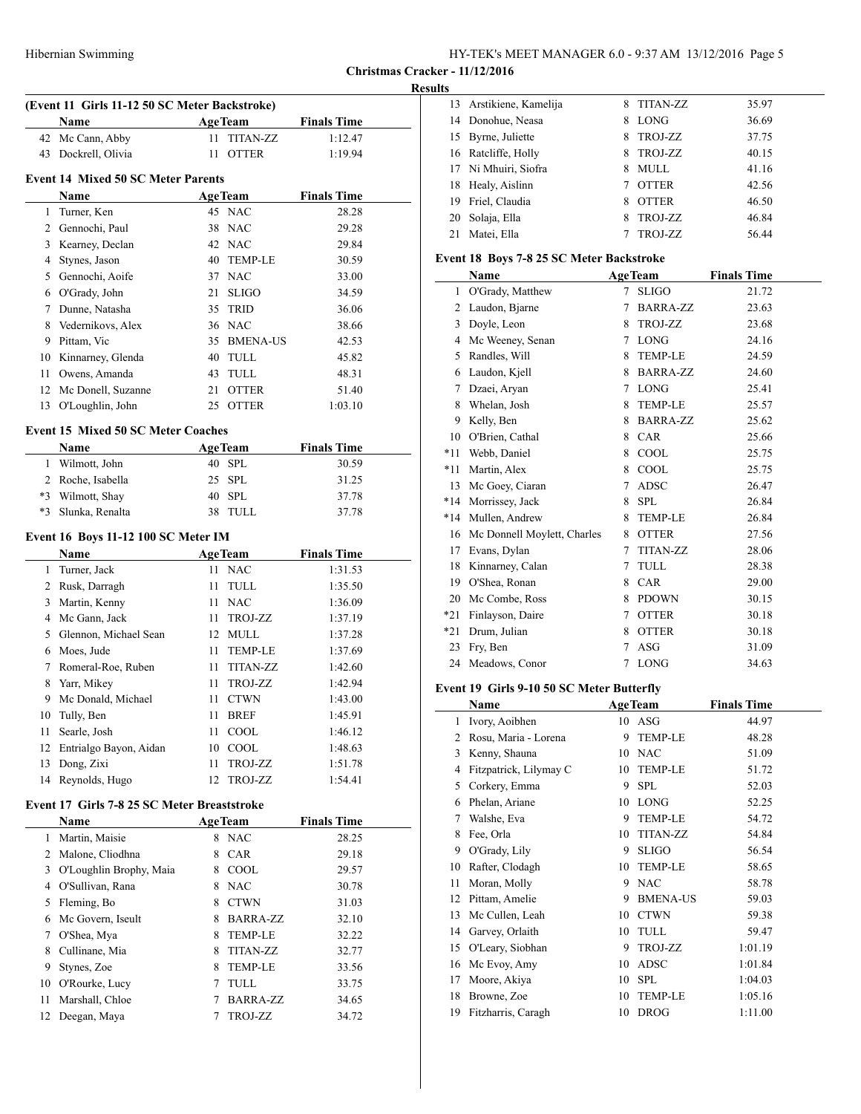#### **Results**

|      | (Event 11 Girls 11-12 50 SC Meter Backstroke) |    |                 |                    |  |
|------|-----------------------------------------------|----|-----------------|--------------------|--|
|      | <b>Name</b>                                   |    | <b>AgeTeam</b>  | <b>Finals Time</b> |  |
| 42   | Mc Cann, Abby                                 | 11 | <b>TITAN-ZZ</b> | 1:12.47            |  |
| 43   | Dockrell, Olivia                              | 11 | <b>OTTER</b>    | 1:19.94            |  |
|      | <b>Event 14 Mixed 50 SC Meter Parents</b>     |    |                 |                    |  |
|      | Name                                          |    | <b>AgeTeam</b>  | <b>Finals Time</b> |  |
| 1    | Turner, Ken                                   |    | 45 NAC          | 28.28              |  |
|      | 2 Gennochi, Paul                              | 38 | <b>NAC</b>      | 29.28              |  |
|      | 3 Kearney, Declan                             |    | 42 NAC          | 29.84              |  |
| 4    | Stynes, Jason                                 | 40 | <b>TEMP-LE</b>  | 30.59              |  |
| 5    | Gennochi, Aoife                               |    | 37 NAC          | 33.00              |  |
| 6    | O'Grady, John                                 | 21 | <b>SLIGO</b>    | 34.59              |  |
| 7    | Dunne, Natasha                                | 35 | <b>TRID</b>     | 36.06              |  |
| 8    | Vedernikovs, Alex                             | 36 | <b>NAC</b>      | 38.66              |  |
| 9    | Pittam, Vic                                   | 35 | <b>BMENA-US</b> | 42.53              |  |
| 10   | Kinnarney, Glenda                             | 40 | TULL            | 45.82              |  |
| 11   | Owens, Amanda                                 | 43 | TULL            | 48.31              |  |
| 12   | Mc Donell, Suzanne                            | 21 | <b>OTTER</b>    | 51.40              |  |
| 13   | O'Loughlin, John                              |    | 25 OTTER        | 1:03.10            |  |
|      | <b>Event 15 Mixed 50 SC Meter Coaches</b>     |    |                 |                    |  |
|      | Name                                          |    | <b>AgeTeam</b>  | <b>Finals Time</b> |  |
|      | 1 Wilmott, John                               |    | 40 SPL          | 30.59              |  |
|      | 2 Roche, Isabella                             | 25 | <b>SPL</b>      | 31.25              |  |
|      | *3 Wilmott, Shay                              | 40 | <b>SPL</b>      | 37.78              |  |
| $*3$ | Slunka, Renalta                               |    | 38 TULL         | 37.78              |  |
|      | Event 16 Boys 11-12 100 SC Meter IM           |    |                 |                    |  |
|      | Name                                          |    | <b>AgeTeam</b>  | <b>Finals Time</b> |  |
| 1    | Turner, Jack                                  | 11 | <b>NAC</b>      | 1:31.53            |  |
|      | 2 Rusk, Darragh                               | 11 | TULL            | 1:35.50            |  |
| 3    | Martin, Kenny                                 | 11 | <b>NAC</b>      | 1:36.09            |  |
| 4    | Mc Gann, Jack                                 | 11 | TROJ-ZZ         | 1:37.19            |  |
| 5    | Glennon, Michael Sean                         | 12 | MULL            | 1:37.28            |  |
| 6    | Moes, Jude                                    | 11 | <b>TEMP-LE</b>  | 1:37.69            |  |
| 7    | Romeral-Roe, Ruben                            | 11 | <b>TITAN-ZZ</b> | 1:42.60            |  |
| 8    | Yarr, Mikey                                   | 11 | <b>TROJ-ZZ</b>  | 1:42.94            |  |
| 9    | Mc Donald, Michael                            | 11 | <b>CTWN</b>     | 1:43.00            |  |
| 10   | Tully, Ben                                    | 11 | <b>BREF</b>     | 1:45.91            |  |

# 11 Searle, Josh 11 COOL 1:46.12 12 Entrialgo Bayon, Aidan 10 COOL 1:48.63 Dong, Zixi 11 TROJ-ZZ 1:51.78 Reynolds, Hugo 12 TROJ-ZZ 1:54.41

# **Event 17 Girls 7-8 25 SC Meter Breaststroke**

<u>in</u>

|    | <b>Name</b>             | <b>AgeTeam</b> |                 | <b>Finals Time</b> |
|----|-------------------------|----------------|-----------------|--------------------|
| 1  | Martin, Maisie          | 8              | <b>NAC</b>      | 28.25              |
| 2  | Malone, Cliodhna        | 8              | <b>CAR</b>      | 29.18              |
| 3  | O'Loughlin Brophy, Maia | 8              | <b>COOL</b>     | 29.57              |
| 4  | O'Sullivan, Rana        | 8              | <b>NAC</b>      | 30.78              |
| 5  | Fleming, Bo             | 8              | <b>CTWN</b>     | 31.03              |
| 6  | Mc Govern, Iseult       | 8              | <b>BARRA-ZZ</b> | 32.10              |
| 7  | O'Shea, Mya             | 8              | <b>TEMP-LE</b>  | 32.22              |
| 8  | Cullinane, Mia          | 8              | <b>TITAN-ZZ</b> | 32.77              |
| 9  | Stynes, Zoe             | 8              | <b>TEMP-LE</b>  | 33.56              |
| 10 | O'Rourke, Lucy          | 7              | TULL            | 33.75              |
| 11 | Marshall, Chloe         |                | <b>BARRA-ZZ</b> | 34.65              |
|    | 12 Deegan, Maya         |                | TROJ-ZZ         | 34.72              |

|    | 13 Arstikiene, Kamelija | 8 | <b>TITAN-ZZ</b> | 35.97 |
|----|-------------------------|---|-----------------|-------|
| 14 | Donohue, Neasa          | 8 | LONG            | 36.69 |
| 15 | Byrne, Juliette         | 8 | TROJ-ZZ         | 37.75 |
|    | 16 Ratcliffe, Holly     | 8 | TROJ-ZZ         | 40.15 |
|    | 17 Ni Mhuiri, Siofra    | 8 | MULL            | 41.16 |
| 18 | Healy, Aislinn          |   | <b>OTTER</b>    | 42.56 |
| 19 | Friel, Claudia          | 8 | <b>OTTER</b>    | 46.50 |
| 20 | Solaja, Ella            | 8 | TROJ-ZZ         | 46.84 |
| 21 | Matei, Ella             |   | <b>TROJ-ZZ</b>  | 56.44 |

## **Event 18 Boys 7-8 25 SC Meter Backstroke**

| Name  |                             |   | <b>AgeTeam</b>  | <b>Finals Time</b> |  |  |
|-------|-----------------------------|---|-----------------|--------------------|--|--|
| 1     | O'Grady, Matthew            | 7 | <b>SLIGO</b>    | 21.72              |  |  |
| 2     | Laudon, Bjarne              | 7 | <b>BARRA-ZZ</b> | 23.63              |  |  |
| 3     | Doyle, Leon                 | 8 | TROJ-ZZ         | 23.68              |  |  |
| 4     | Mc Weeney, Senan            | 7 | <b>LONG</b>     | 24.16              |  |  |
| 5     | Randles, Will               | 8 | <b>TEMP-LE</b>  | 24.59              |  |  |
| 6     | Laudon, Kjell               | 8 | <b>BARRA-ZZ</b> | 24.60              |  |  |
| 7     | Dzaei, Aryan                | 7 | <b>LONG</b>     | 25.41              |  |  |
| 8     | Whelan, Josh                | 8 | <b>TEMP-LE</b>  | 25.57              |  |  |
| 9     | Kelly, Ben                  | 8 | <b>BARRA-ZZ</b> | 25.62              |  |  |
| 10    | O'Brien, Cathal             | 8 | <b>CAR</b>      | 25.66              |  |  |
| $*11$ | Webb, Daniel                | 8 | COOL            | 25.75              |  |  |
| $*11$ | Martin, Alex                | 8 | COOL            | 25.75              |  |  |
| 13    | Mc Goey, Ciaran             | 7 | <b>ADSC</b>     | 26.47              |  |  |
| $*14$ | Morrissey, Jack             | 8 | <b>SPL</b>      | 26.84              |  |  |
| *14   | Mullen, Andrew              | 8 | <b>TEMP-LE</b>  | 26.84              |  |  |
| 16    | Mc Donnell Moylett, Charles | 8 | <b>OTTER</b>    | 27.56              |  |  |
| 17    | Evans, Dylan                | 7 | <b>TITAN-ZZ</b> | 28.06              |  |  |
| 18    | Kinnarney, Calan            | 7 | TULL            | 28.38              |  |  |
| 19    | O'Shea, Ronan               | 8 | <b>CAR</b>      | 29.00              |  |  |
| 20    | Mc Combe, Ross              | 8 | <b>PDOWN</b>    | 30.15              |  |  |
| *21   | Finlayson, Daire            | 7 | <b>OTTER</b>    | 30.18              |  |  |
| *21   | Drum, Julian                | 8 | <b>OTTER</b>    | 30.18              |  |  |
| 23    | Fry, Ben                    | 7 | <b>ASG</b>      | 31.09              |  |  |
| 24    | Meadows, Conor              | 7 | <b>LONG</b>     | 34.63              |  |  |

# **Event 19 Girls 9-10 50 SC Meter Butterfly**

|    | Name                   |    | <b>AgeTeam</b>  | <b>Finals Time</b> |  |
|----|------------------------|----|-----------------|--------------------|--|
| 1  | Ivory, Aoibhen         | 10 | ASG             | 44.97              |  |
| 2  | Rosu, Maria - Lorena   | 9  | <b>TEMP-LE</b>  | 48.28              |  |
| 3  | Kenny, Shauna          | 10 | <b>NAC</b>      | 51.09              |  |
| 4  | Fitzpatrick, Lilymay C | 10 | <b>TEMP-LE</b>  | 51.72              |  |
| 5  | Corkery, Emma          | 9  | <b>SPL</b>      | 52.03              |  |
| 6  | Phelan, Ariane         | 10 | <b>LONG</b>     | 52.25              |  |
| 7  | Walshe, Eva            | 9  | <b>TEMP-LE</b>  | 54.72              |  |
| 8  | Fee, Orla              | 10 | <b>TITAN-ZZ</b> | 54.84              |  |
| 9  | O'Grady, Lily          | 9  | <b>SLIGO</b>    | 56.54              |  |
| 10 | Rafter, Clodagh        | 10 | <b>TEMP-LE</b>  | 58.65              |  |
| 11 | Moran, Molly           | 9  | <b>NAC</b>      | 58.78              |  |
| 12 | Pittam, Amelie         | 9  | <b>BMENA-US</b> | 59.03              |  |
| 13 | Mc Cullen, Leah        | 10 | <b>CTWN</b>     | 59.38              |  |
| 14 | Garvey, Orlaith        | 10 | TULL            | 59.47              |  |
| 15 | O'Leary, Siobhan       | 9  | TROJ-ZZ         | 1:01.19            |  |
| 16 | Mc Evoy, Amy           | 10 | ADSC            | 1:01.84            |  |
| 17 | Moore, Akiya           | 10 | <b>SPL</b>      | 1:04.03            |  |
| 18 | Browne, Zoe            | 10 | <b>TEMP-LE</b>  | 1:05.16            |  |
| 19 | Fitzharris, Caragh     | 10 | <b>DROG</b>     | 1:11.00            |  |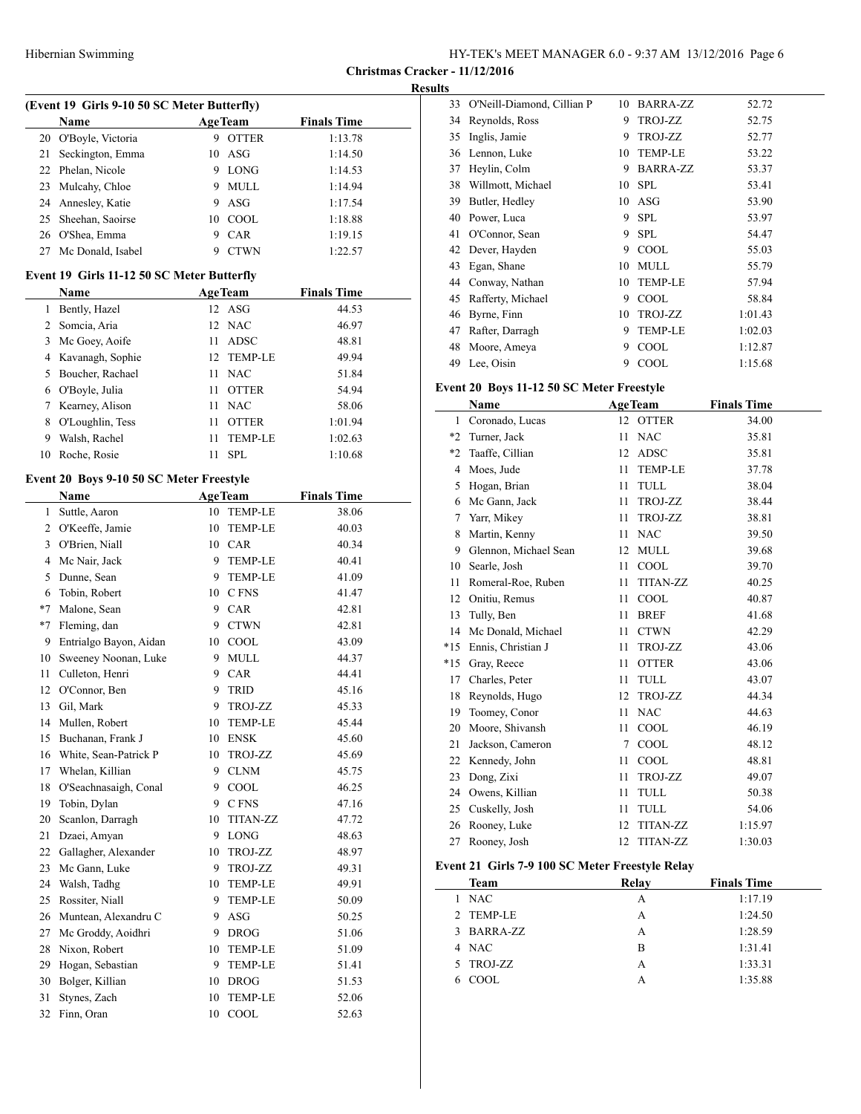**Christmas Cracker - 11/12/2016**

| (Event 19 Girls 9-10 50 SC Meter Butterfly) |                                            |          |                 |                    |  |
|---------------------------------------------|--------------------------------------------|----------|-----------------|--------------------|--|
|                                             | Name                                       |          | <b>AgeTeam</b>  | <b>Finals Time</b> |  |
| 20                                          | O'Boyle, Victoria                          | 9.       | <b>OTTER</b>    | 1:13.78            |  |
| 21                                          | Seckington, Emma                           | 10       | ASG             | 1:14.50            |  |
| 22                                          | Phelan, Nicole                             |          | 9 LONG          | 1:14.53            |  |
| 23                                          | Mulcahy, Chloe                             | 9.       | <b>MULL</b>     | 1:14.94            |  |
| 24                                          | Annesley, Katie                            | 9.       | ASG             | 1:17.54            |  |
| 25                                          | Sheehan, Saoirse                           | 10       | COOL            | 1:18.88            |  |
| 26                                          | O'Shea, Emma                               | 9        | CAR             | 1:19.15            |  |
| 27                                          | Mc Donald, Isabel                          | 9        | <b>CTWN</b>     | 1:22.57            |  |
|                                             | Event 19 Girls 11-12 50 SC Meter Butterfly |          |                 |                    |  |
|                                             | Name                                       |          | <b>AgeTeam</b>  | <b>Finals Time</b> |  |
| 1                                           | Bently, Hazel                              | 12       | ASG             | 44.53              |  |
| 2                                           | Somcia, Aria                               | 12       | NAC             | 46.97              |  |
| 3                                           | Mc Goey, Aoife                             | 11       | ADSC            | 48.81              |  |
| 4                                           | Kavanagh, Sophie                           | 12       | <b>TEMP-LE</b>  | 49.94              |  |
| 5                                           | Boucher, Rachael                           | 11       | <b>NAC</b>      | 51.84              |  |
| 6                                           | O'Boyle, Julia                             | 11       | <b>OTTER</b>    | 54.94              |  |
| 7                                           | Kearney, Alison                            | 11       | <b>NAC</b>      | 58.06              |  |
| 8                                           | O'Loughlin, Tess                           | 11       | <b>OTTER</b>    | 1:01.94            |  |
| 9                                           | Walsh, Rachel                              | 11       | TEMP-LE         | 1:02.63            |  |
| 10                                          | Roche, Rosie                               | 11       | <b>SPL</b>      | 1:10.68            |  |
|                                             | Event 20 Boys 9-10 50 SC Meter Freestyle   |          |                 |                    |  |
|                                             | Name                                       |          | <b>AgeTeam</b>  | <b>Finals Time</b> |  |
| 1                                           | Suttle, Aaron                              | 10       | TEMP-LE         | 38.06              |  |
| 2                                           | O'Keeffe, Jamie                            | 10       | <b>TEMP-LE</b>  | 40.03              |  |
| 3                                           | O'Brien, Niall                             |          | 10 CAR          | 40.34              |  |
| 4                                           | Mc Nair, Jack                              | 9.       | TEMP-LE         | 40.41              |  |
| 5                                           | Dunne, Sean                                | 9.       | TEMP-LE         | 41.09              |  |
| 6                                           | Tobin, Robert                              |          | 10 CFNS         | 41.47              |  |
| $*7$                                        | Malone, Sean                               |          | 9 CAR           | 42.81              |  |
| $*7$                                        | Fleming, dan                               |          | 9 CTWN          | 42.81              |  |
| 9                                           | Entrialgo Bayon, Aidan                     |          | 10 COOL         | 43.09              |  |
| 10                                          | Sweeney Noonan, Luke                       | 9.       | <b>MULL</b>     | 44.37              |  |
| 11                                          | Culleton, Henri                            |          | 9 CAR           | 44.41              |  |
| 12                                          | O'Connor, Ben                              | 9        | <b>TRID</b>     | 45.16              |  |
| 13                                          | Gil, Mark                                  | 9        | TROJ-ZZ         | 45.33              |  |
|                                             | 14 Mullen, Robert                          |          | 10 TEMP-LE      | 45.44              |  |
|                                             | 15 Buchanan, Frank J                       |          | 10 ENSK         | 45.60              |  |
| 16                                          | White, Sean-Patrick P                      | 10       | TROJ-ZZ         | 45.69              |  |
| 17                                          | Whelan, Killian                            | 9        | <b>CLNM</b>     | 45.75              |  |
| 18                                          | O'Seachnasaigh, Conal                      | 9        | COOL            | 46.25              |  |
| 19                                          | Tobin, Dylan                               | 9.       | C FNS           | 47.16              |  |
| 20                                          | Scanlon, Darragh<br>Dzaei, Amyan           | 10<br>9. | <b>TITAN-ZZ</b> | 47.72              |  |
| 21<br>22                                    | Gallagher, Alexander                       | 10       | LONG<br>TROJ-ZZ | 48.63<br>48.97     |  |
| 23                                          | Mc Gann, Luke                              | 9        | TROJ-ZZ         | 49.31              |  |
| 24                                          | Walsh, Tadhg                               | 10       | TEMP-LE         | 49.91              |  |
| 25                                          | Rossiter, Niall                            | 9.       | TEMP-LE         | 50.09              |  |
| 26                                          | Muntean, Alexandru C                       | 9.       | ASG             | 50.25              |  |
| 27                                          | Mc Groddy, Aoidhri                         | 9        | <b>DROG</b>     | 51.06              |  |
| 28                                          | Nixon, Robert                              | 10       | TEMP-LE         | 51.09              |  |
| 29                                          | Hogan, Sebastian                           | 9        | TEMP-LE         | 51.41              |  |
| 30                                          | Bolger, Killian                            | 10       | <b>DROG</b>     | 51.53              |  |
| 31                                          | Stynes, Zach                               | 10       | <b>TEMP-LE</b>  | 52.06              |  |
| 32                                          | Finn, Oran                                 | 10       | COOL            | 52.63              |  |
|                                             |                                            |          |                 |                    |  |

| <b>Results</b> |                               |    |                |         |  |
|----------------|-------------------------------|----|----------------|---------|--|
|                | 33 O'Neill-Diamond, Cillian P | 10 | BARRA-ZZ       | 52.72   |  |
|                | 34 Reynolds, Ross             | 9  | TROJ-ZZ        | 52.75   |  |
| 35             | Inglis, Jamie                 | 9  | TROJ-ZZ        | 52.77   |  |
|                | 36 Lennon, Luke               | 10 | <b>TEMP-LE</b> | 53.22   |  |
| 37             | Heylin, Colm                  | 9  | BARRA-ZZ       | 53.37   |  |
| 38             | Willmott, Michael             |    | 10 SPL         | 53.41   |  |
| 39             | Butler, Hedley                |    | $10$ ASG       | 53.90   |  |
| 40             | Power, Luca                   | 9  | <b>SPL</b>     | 53.97   |  |
| 41             | O'Connor, Sean                | 9  | <b>SPL</b>     | 54.47   |  |
|                | 42 Dever, Hayden              | 9  | <b>COOL</b>    | 55.03   |  |
| 43             | Egan, Shane                   | 10 | <b>MULL</b>    | 55.79   |  |
|                | 44 Conway, Nathan             | 10 | <b>TEMP-LE</b> | 57.94   |  |
| 45             | Rafferty, Michael             | 9  | COOL           | 58.84   |  |
| 46             | Byrne, Finn                   | 10 | TROJ-ZZ        | 1:01.43 |  |
| 47             | Rafter, Darragh               | 9  | <b>TEMP-LE</b> | 1:02.03 |  |
| 48             | Moore, Ameya                  | 9  | <b>COOL</b>    | 1:12.87 |  |
| 49             | Lee, Oisin                    | 9  | COOL           | 1:15.68 |  |

# **Event 20 Boys 11-12 50 SC Meter Freestyle**

|       | Name                  |    | <b>AgeTeam</b>  | <b>Finals Time</b> |
|-------|-----------------------|----|-----------------|--------------------|
| 1     | Coronado, Lucas       | 12 | <b>OTTER</b>    | 34.00              |
| $*2$  | Turner, Jack          | 11 | <b>NAC</b>      | 35.81              |
| $*2$  | Taaffe, Cillian       | 12 | ADSC            | 35.81              |
| 4     | Moes, Jude            | 11 | <b>TEMP-LE</b>  | 37.78              |
| 5     | Hogan, Brian          | 11 | TULL            | 38.04              |
| 6     | Mc Gann, Jack         | 11 | TROJ-ZZ         | 38.44              |
| 7     | Yarr, Mikey           | 11 | TROJ-ZZ         | 38.81              |
| 8     | Martin, Kenny         | 11 | <b>NAC</b>      | 39.50              |
| 9     | Glennon, Michael Sean | 12 | <b>MULL</b>     | 39.68              |
| 10    | Searle, Josh          | 11 | COOL            | 39.70              |
| 11    | Romeral-Roe, Ruben    | 11 | <b>TITAN-ZZ</b> | 40.25              |
| 12    | Onitiu, Remus         | 11 | COOL            | 40.87              |
| 13    | Tully, Ben            | 11 | <b>BREF</b>     | 41.68              |
| 14    | Mc Donald, Michael    | 11 | <b>CTWN</b>     | 42.29              |
| $*15$ | Ennis, Christian J    | 11 | TROJ-ZZ         | 43.06              |
| $*15$ | Gray, Reece           | 11 | <b>OTTER</b>    | 43.06              |
| 17    | Charles, Peter        | 11 | <b>TULL</b>     | 43.07              |
| 18    | Reynolds, Hugo        | 12 | TROJ-ZZ         | 44.34              |
| 19    | Toomey, Conor         | 11 | <b>NAC</b>      | 44.63              |
| 20    | Moore, Shivansh       | 11 | COOL            | 46.19              |
| 21    | Jackson, Cameron      | 7  | COOL            | 48.12              |
| 22    | Kennedy, John         | 11 | COOL            | 48.81              |
| 23    | Dong, Zixi            | 11 | TROJ-ZZ         | 49.07              |
| 24    | Owens, Killian        | 11 | TULL            | 50.38              |
| 25    | Cuskelly, Josh        | 11 | TULL            | 54.06              |
| 26    | Rooney, Luke          | 12 | <b>TITAN-ZZ</b> | 1:15.97            |
| 27    | Rooney, Josh          | 12 | <b>TITAN-ZZ</b> | 1:30.03            |

## **Event 21 Girls 7-9 100 SC Meter Freestyle Relay**

| <b>Team</b> | Relay | <b>Finals Time</b> |
|-------------|-------|--------------------|
| 1 NAC       | A     | 1:17.19            |
| 2 TEMP-LE   | А     | 1:24.50            |
| 3 BARRA-ZZ  | A     | 1:28.59            |
| 4 NAC       | в     | 1:31.41            |
| 5 TROJ-ZZ   | А     | 1:33.31            |
| COOL<br>6   |       | 1:35.88            |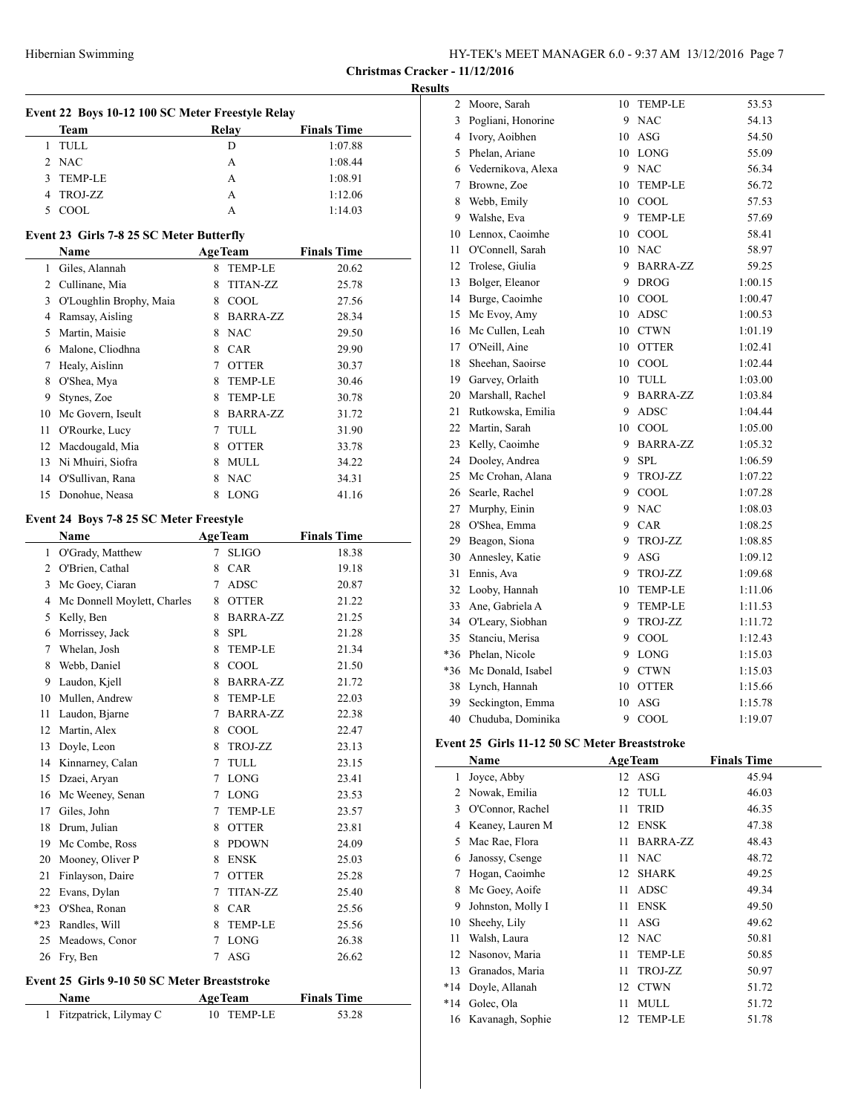### **Results**

 $\overline{\phantom{a}}$ 

| Event 22 Boys 10-12 100 SC Meter Freestyle Relay |                                              |                  |                 |                    |  |
|--------------------------------------------------|----------------------------------------------|------------------|-----------------|--------------------|--|
|                                                  | Team                                         | Relay            |                 | <b>Finals Time</b> |  |
| 1                                                | TULL                                         | D                |                 | 1:07.88            |  |
|                                                  | 2 NAC                                        | A                |                 | 1:08.44            |  |
| 3                                                | <b>TEMP-LE</b>                               | A                |                 | 1:08.91            |  |
| 4                                                | TROJ-ZZ                                      | A                |                 | 1:12.06            |  |
| 5                                                | COOL                                         | A                |                 | 1:14.03            |  |
|                                                  |                                              |                  |                 |                    |  |
|                                                  | Event 23 Girls 7-8 25 SC Meter Butterfly     |                  |                 |                    |  |
|                                                  | Name                                         |                  | <b>AgeTeam</b>  | <b>Finals Time</b> |  |
|                                                  | 1 Giles, Alannah                             | 8                | <b>TEMP-LE</b>  | 20.62              |  |
|                                                  | 2 Cullinane, Mia                             | 8                | <b>TITAN-ZZ</b> | 25.78              |  |
|                                                  | 3 O'Loughlin Brophy, Maia                    | 8 COOL           |                 | 27.56              |  |
|                                                  | 4 Ramsay, Aisling                            |                  | 8 BARRA-ZZ      | 28.34              |  |
|                                                  | 5 Martin, Maisie                             | 8 NAC            |                 | 29.50              |  |
|                                                  | 6 Malone, Cliodhna                           | 8 CAR            |                 | 29.90              |  |
|                                                  | 7 Healy, Aislinn                             | 7 OTTER          |                 | 30.37              |  |
| 8                                                | O'Shea, Mya                                  |                  | 8 TEMP-LE       | 30.46              |  |
| 9                                                | Stynes, Zoe                                  |                  | 8 TEMP-LE       | 30.78              |  |
|                                                  | 10 Mc Govern, Iseult                         |                  | 8 BARRA-ZZ      | 31.72              |  |
|                                                  | 11 O'Rourke, Lucy                            | 7 TULL           |                 | 31.90              |  |
|                                                  | 12 Macdougald, Mia                           | 8 OTTER          |                 | 33.78              |  |
|                                                  | 13 Ni Mhuiri, Siofra                         | 8 MULL           |                 | 34.22              |  |
|                                                  | 14 O'Sullivan, Rana                          | <b>NAC</b><br>8  |                 | 34.31              |  |
| 15                                               | Donohue, Neasa                               | 8                | <b>LONG</b>     | 41.16              |  |
|                                                  |                                              |                  |                 |                    |  |
|                                                  | Event 24 Boys 7-8 25 SC Meter Freestyle      |                  |                 |                    |  |
|                                                  | Name                                         | <b>AgeTeam</b>   |                 | <b>Finals Time</b> |  |
|                                                  | 1 O'Grady, Matthew                           | $7^{\circ}$      | <b>SLIGO</b>    | 18.38              |  |
|                                                  | 2 O'Brien, Cathal                            | 8 CAR            |                 | 19.18              |  |
|                                                  | 3 Mc Goey, Ciaran                            | 7 ADSC           |                 | 20.87              |  |
| 4                                                | Mc Donnell Moylett, Charles                  | 8 OTTER          |                 | 21.22              |  |
| 5                                                | Kelly, Ben                                   |                  | 8 BARRA-ZZ      | 21.25              |  |
|                                                  | 6 Morrissey, Jack                            | 8 SPL            |                 | 21.28              |  |
|                                                  | 7 Whelan, Josh                               |                  | 8 TEMP-LE       | 21.34              |  |
|                                                  | 8 Webb, Daniel                               | 8 COOL           |                 | 21.50              |  |
|                                                  | 9 Laudon, Kjell                              |                  | 8 BARRA-ZZ      | 21.72              |  |
|                                                  | 10 Mullen, Andrew                            | 8                | TEMP-LE         | 22.03              |  |
| 11                                               | Laudon, Bjarne                               | 7                | <b>BARRA-ZZ</b> | 22.38              |  |
|                                                  | 12 Martin, Alex                              |                  | 8 COOL          | 22.47              |  |
|                                                  | 13 Doyle, Leon                               | 8                | TROJ-ZZ         | 23.13              |  |
|                                                  | 14 Kinnarney, Calan                          | 7                | TULL            | 23.15              |  |
|                                                  | 15 Dzaei, Aryan                              | 7 LONG           |                 | 23.41              |  |
|                                                  | 16 Mc Weeney, Senan                          | 7 LONG           |                 | 23.53              |  |
|                                                  | 17 Giles, John                               |                  |                 |                    |  |
|                                                  |                                              |                  | 7 TEMP-LE       | 23.57              |  |
|                                                  | 18 Drum, Julian                              | 8 OTTER          |                 | 23.81              |  |
|                                                  | 19 Mc Combe, Ross                            |                  | 8 PDOWN         | 24.09              |  |
|                                                  | 20 Mooney, Oliver P                          | <b>ENSK</b><br>8 |                 | 25.03              |  |
| 21                                               | Finlayson, Daire                             | 7 OTTER          |                 | 25.28              |  |
|                                                  | 22 Evans, Dylan                              | 7                | <b>TITAN-ZZ</b> | 25.40              |  |
| *23                                              | O'Shea, Ronan                                | 8 CAR            |                 | 25.56              |  |
| *23                                              | Randles, Will                                | 8                | <b>TEMP-LE</b>  | 25.56              |  |
| 25                                               | Meadows, Conor                               | $\tau$           | <b>LONG</b>     | 26.38              |  |
|                                                  | 26 Fry, Ben                                  | ASG<br>7         |                 | 26.62              |  |
|                                                  | Event 25 Girls 9-10 50 SC Meter Breaststroke |                  |                 |                    |  |
|                                                  | Name                                         | <b>AgeTeam</b>   |                 | <b>Finals Time</b> |  |
|                                                  | 1 Fitzpatrick, Lilymay C                     |                  | 10 TEMP-LE      | 53.28              |  |

| 2              | Moore, Sarah                                  | 10 | TEMP-LE         | 53.53              |
|----------------|-----------------------------------------------|----|-----------------|--------------------|
| 3              | Pogliani, Honorine                            | 9  | <b>NAC</b>      | 54.13              |
| 4              | Ivory, Aoibhen                                | 10 | ASG             | 54.50              |
| 5              | Phelan, Ariane                                |    | 10 LONG         | 55.09              |
| 6              | Vedernikova, Alexa                            |    | 9 NAC           | 56.34              |
| 7              | Browne, Zoe                                   |    | 10 TEMP-LE      | 56.72              |
| 8              | Webb, Emily                                   |    | 10 COOL         | 57.53              |
| 9              | Walshe, Eva                                   |    | 9 TEMP-LE       | 57.69              |
| 10             | Lennox, Caoimhe                               |    | 10 COOL         | 58.41              |
| 11             | O'Connell, Sarah                              |    | 10 NAC          | 58.97              |
| 12             | Trolese, Giulia                               |    | 9 BARRA-ZZ      | 59.25              |
| 13             | Bolger, Eleanor                               | 9  | <b>DROG</b>     | 1:00.15            |
| 14             | Burge, Caoimhe                                |    | 10 COOL         | 1:00.47            |
| 15             | Mc Evoy, Amy                                  | 10 | ADSC            | 1:00.53            |
| 16             | Mc Cullen, Leah                               |    | 10 CTWN         | 1:01.19            |
| 17             | O'Neill, Aine                                 |    | 10 OTTER        | 1:02.41            |
| 18             | Sheehan, Saoirse                              |    | 10 COOL         | 1:02.44            |
| 19             | Garvey, Orlaith                               |    | 10 TULL         | 1:03.00            |
| 20             | Marshall, Rachel                              |    | 9 BARRA-ZZ      | 1:03.84            |
| 21             | Rutkowska, Emilia                             |    | 9 ADSC          | 1:04.44            |
| 22             | Martin, Sarah                                 |    | 10 COOL         | 1:05.00            |
| 23             | Kelly, Caoimhe                                |    | 9 BARRA-ZZ      | 1:05.32            |
| 24             | Dooley, Andrea                                |    | 9 SPL           | 1:06.59            |
| 25             | Mc Crohan, Alana                              | 9  | TROJ-ZZ         | 1:07.22            |
| 26             | Searle, Rachel                                |    | 9 COOL          | 1:07.28            |
| 27             | Murphy, Einin                                 |    | 9 NAC           | 1:08.03            |
| 28             | O'Shea, Emma                                  |    | 9 CAR           | 1:08.25            |
| 29             | Beagon, Siona                                 | 9  | TROJ-ZZ         | 1:08.85            |
| 30             | Annesley, Katie                               |    | 9 ASG           | 1:09.12            |
| 31             | Ennis, Ava                                    |    | 9 TROJ-ZZ       | 1:09.68            |
| 32             | Looby, Hannah                                 |    | 10 TEMP-LE      | 1:11.06            |
| 33             | Ane, Gabriela A                               |    | 9 TEMP-LE       | 1:11.53            |
| 34             | O'Leary, Siobhan                              |    | 9 TROJ-ZZ       | 1:11.72            |
| 35             | Stanciu, Merisa                               |    | 9 COOL          | 1:12.43            |
| *36            | Phelan, Nicole                                |    | 9 LONG          | 1:15.03            |
| *36            | Mc Donald, Isabel                             | 9  | <b>CTWN</b>     | 1:15.03            |
| 38             | Lynch, Hannah                                 |    | 10 OTTER        | 1:15.66            |
| 39             | Seckington, Emma                              | 10 | ASG             | 1:15.78            |
| 40             | Chuduba, Dominika                             | 9  | COOL            | 1:19.07            |
|                | Event 25 Girls 11-12 50 SC Meter Breaststroke |    |                 |                    |
|                | <b>Name</b>                                   |    | <b>AgeTeam</b>  | <b>Finals Time</b> |
| 1              | Joyce, Abby                                   | 12 | $\rm ASG$       | 45.94              |
| $\overline{c}$ | Nowak, Emilia                                 | 12 | TULL            | 46.03              |
| 3              | O'Connor, Rachel                              | 11 | <b>TRID</b>     | 46.35              |
| 4              | Keaney, Lauren M                              | 12 | <b>ENSK</b>     | 47.38              |
| 5              | Mac Rae, Flora                                | 11 | <b>BARRA-ZZ</b> | 48.43              |
| 6              | Janossy, Csenge                               | 11 | NAC)            | 48.72              |
| 7              | Hogan, Caoimhe                                | 12 | <b>SHARK</b>    | 49.25              |
| 8              | Mc Goey, Aoife                                | 11 | <b>ADSC</b>     | 49.34              |

9 Johnston, Molly I 11 ENSK 49.50 10 Sheehy, Lily 11 ASG 49.62 11 Walsh, Laura 12 NAC 50.81 Nasonov, Maria 11 TEMP-LE 50.85 13 Granados, Maria 11 TROJ-ZZ 50.97 \*14 Doyle, Allanah 12 CTWN 51.72 \*14 Golec, Ola 11 MULL 51.72 16 Kavanagh, Sophie 12 TEMP-LE 51.78